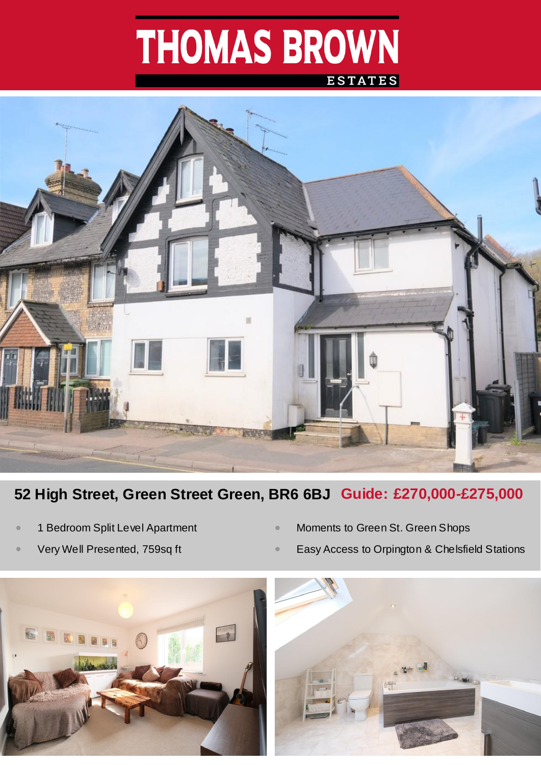# THOMAS BROWN





## **52 High Street, Green Street Green, BR6 6BJ Guide: £270,000-£275,000**

- *•* 1 Bedroom Split Level Apartment
- *•* Very Well Presented, 759sq ft
- *•* Moments to Green St. Green Shops
- *•* Easy Access to Orpington & Chelsfield Stations

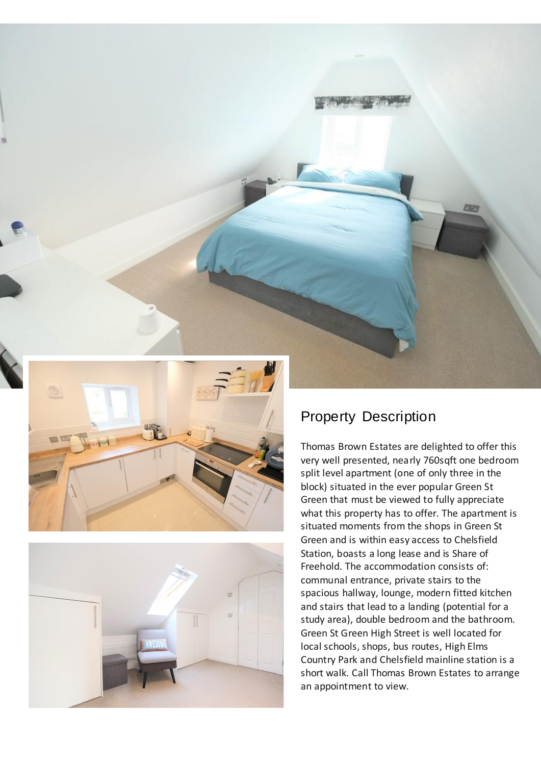



## Property Description

Thomas Brown Estates are delighted to offer this very well presented, nearly 760sqft one bedroom split level apartment (one of only three in the block) situated in the ever popular Green St Green that must be viewed to fully appreciate what this property has to offer. The apartment is situated moments from the shops in Green St Green and is within easy access to Chelsfield Station, boasts a long lease and is Share of Freehold. The accommodation consists of: communal entrance, private stairs to the spacious hallway, lounge, modern fitted kitchen and stairs that lead to a landing (potential for a study area), double bedroom and the bathroom. Green St Green High Street is well located for local schools, shops, bus routes, High Elms Country Park and Chelsfield mainline station is a short walk. Call Thomas Brown Estates to arrange an appointment to view.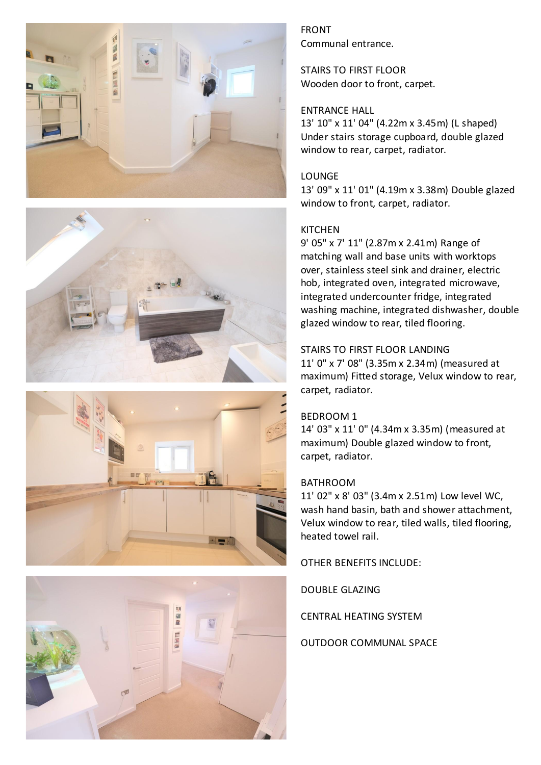







FRONT Communal entrance.

STAIRS TO FIRST FLOOR Wooden door to front, carpet.

#### ENTRANCE HALL

13' 10" x 11' 04" (4.22m x 3.45m) (L shaped) Under stairs storage cupboard, double glazed window to rear, carpet, radiator.

#### LOUNGE

13' 09" x 11' 01" (4.19m x 3.38m) Double glazed window to front, carpet, radiator.

#### **KITCHEN**

9' 05" x 7' 11" (2.87m x 2.41m) Range of matching wall and base units with worktops over, stainless steel sink and drainer, electric hob, integrated oven, integrated microwave, integrated undercounter fridge, integrated washing machine, integrated dishwasher, double glazed window to rear, tiled flooring.

#### STAIRS TO FIRST FLOOR LANDING

11' 0" x 7' 08" (3.35m x 2.34m) (measured at maximum) Fitted storage, Velux window to rear, carpet, radiator.

#### BEDROOM 1

14' 03" x 11' 0" (4.34m x 3.35m) (measured at maximum) Double glazed window to front, carpet, radiator.

#### BATHROOM

11' 02" x 8' 03" (3.4m x 2.51m) Low level WC, wash hand basin, bath and shower attachment, Velux window to rear, tiled walls, tiled flooring, heated towel rail.

OTHER BENEFITS INCLUDE:

DOUBLE GLAZING

CENTRAL HEATING SYSTEM

OUTDOOR COMMUNAL SPACE